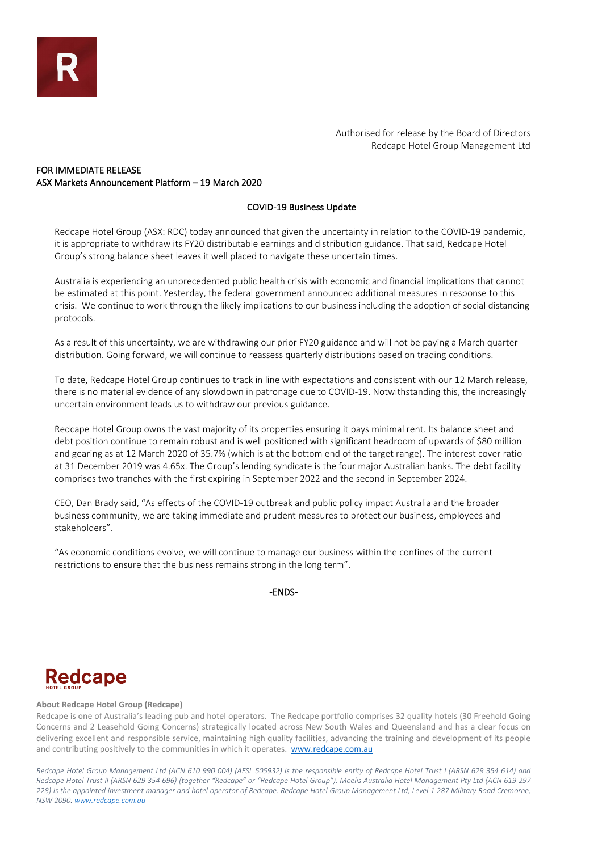Authorised for release by the Board of Directors Redcape Hotel Group Management Ltd

# FOR IMMEDIATE RELEASE ASX Markets Announcement Platform – 19 March 2020

## COVID-19 Business Update

Redcape Hotel Group (ASX: RDC) today announced that given the uncertainty in relation to the COVID-19 pandemic, it is appropriate to withdraw its FY20 distributable earnings and distribution guidance. That said, Redcape Hotel Group's strong balance sheet leaves it well placed to navigate these uncertain times.

Australia is experiencing an unprecedented public health crisis with economic and financial implications that cannot be estimated at this point. Yesterday, the federal government announced additional measures in response to this crisis. We continue to work through the likely implications to our business including the adoption of social distancing protocols.

As a result of this uncertainty, we are withdrawing our prior FY20 guidance and will not be paying a March quarter distribution. Going forward, we will continue to reassess quarterly distributions based on trading conditions.

To date, Redcape Hotel Group continues to track in line with expectations and consistent with our 12 March release, there is no material evidence of any slowdown in patronage due to COVID-19. Notwithstanding this, the increasingly uncertain environment leads us to withdraw our previous guidance.

Redcape Hotel Group owns the vast majority of its properties ensuring it pays minimal rent. Its balance sheet and debt position continue to remain robust and is well positioned with significant headroom of upwards of \$80 million and gearing as at 12 March 2020 of 35.7% (which is at the bottom end of the target range). The interest cover ratio at 31 December 2019 was 4.65x. The Group's lending syndicate is the four major Australian banks. The debt facility comprises two tranches with the first expiring in September 2022 and the second in September 2024.

CEO, Dan Brady said, "As effects of the COVID-19 outbreak and public policy impact Australia and the broader business community, we are taking immediate and prudent measures to protect our business, employees and stakeholders".

"As economic conditions evolve, we will continue to manage our business within the confines of the current restrictions to ensure that the business remains strong in the long term".

-ENDS-

# Redcape

#### **About Redcape Hotel Group (Redcape)**

Redcape is one of Australia's leading pub and hotel operators. The Redcape portfolio comprises 32 quality hotels (30 Freehold Going Concerns and 2 Leasehold Going Concerns) strategically located across New South Wales and Queensland and has a clear focus on delivering excellent and responsible service, maintaining high quality facilities, advancing the training and development of its people and contributing positively to the communities in which it operates. [www.redcape.com.au](http://www.redcape.com.au/)

*Redcape Hotel Group Management Ltd (ACN 610 990 004) (AFSL 505932) is the responsible entity of Redcape Hotel Trust I (ARSN 629 354 614) and Redcape Hotel Trust II (ARSN 629 354 696) (together "Redcape" or "Redcape Hotel Group"). Moelis Australia Hotel Management Pty Ltd (ACN 619 297 228) is the appointed investment manager and hotel operator of Redcape. Redcape Hotel Group Management Ltd, Level 1 287 Military Road Cremorne, NSW 2090[. www.redcape.com.au](http://www.redcape.com.au/)*